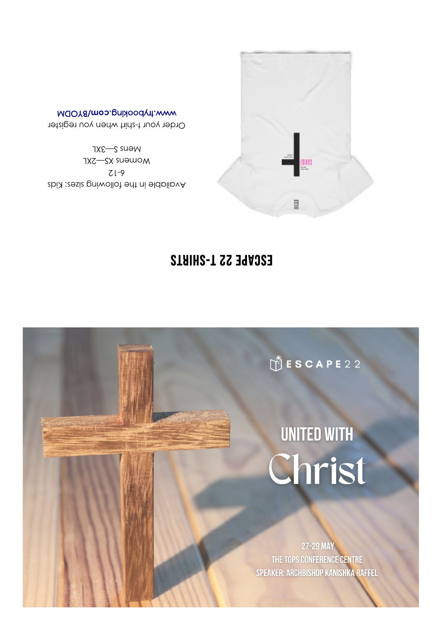27-29 MAY THE TOPS CONFERENCE CENTRE SPEAKER: ARCHBISHOP KANISHKA RAFFEL

# UNITED WITH Christ

SCAPE22

## ESCAPE 22 T-SHIRTS

Mens S-3XL Womens XS-2XL  $Zl-9$ Available in the following sizes: Kids

MOOY8\mo2.prixoody1.www Order your t-shirt when you register